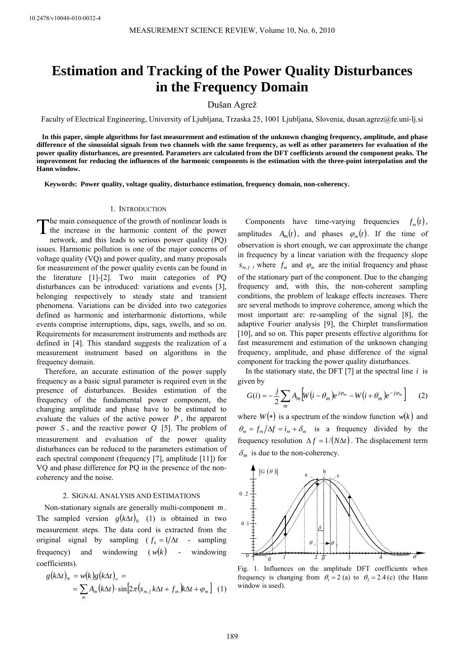# **Estimation and Tracking of the Power Quality Disturbances in the Frequency Domain**

# Dušan Agrež

Faculty of Electrical Engineering, University of Ljubljana, Trzaska 25, 1001 Ljubljana, Slovenia, [dusan.agrez@fe.uni-lj.si](mailto:dusan.agrez@fe.uni-lj.si) 

**In this paper, simple algorithms for fast measurement and estimation of the unknown changing frequency, amplitude, and phase difference of the sinusoidal signals from two channels with the same frequency, as well as other parameters for evaluation of the power quality disturbances, are presented. Parameters are calculated from the DFT coefficients around the component peaks. The improvement for reducing the influences of the harmonic components is the estimation with the three-point interpolation and the Hann window.** 

**Keywords: Power quality, voltage quality, disturbance estimation, frequency domain, non-coherency.** 

### 1. INTRODUCTION

he main consequence of the growth of nonlinear loads is The main consequence of the growth of nonlinear loads is<br>the increase in the harmonic content of the power network, and this leads to serious power quality (PQ) issues. Harmonic pollution is one of the major concerns of voltage quality (VQ) and power quality, and many proposals for measurement of the power quality events can be found in the literature [1]-[2]. Two main categories of PQ disturbances can be introduced: variations and events [3], belonging respectively to steady state and transient phenomena. Variations can be divided into two categories defined as harmonic and interharmonic distortions, while events comprise interruptions, dips, sags, swells, and so on. Requirements for measurement instruments and methods are defined in [4]. This standard suggests the realization of a measurement instrument based on algorithms in the frequency domain.

Therefore, an accurate estimation of the power supply frequency as a basic signal parameter is required even in the presence of disturbances. Besides estimation of the frequency of the fundamental power component, the changing amplitude and phase have to be estimated to evaluate the values of the active power *P* , the apparent power S, and the reactive power  $Q$  [5]. The problem of measurement and evaluation of the power quality disturbances can be reduced to the parameters estimation of each spectral component (frequency [7], amplitude [11]) for VQ and phase difference for PQ in the presence of the noncoherency and the noise.

#### 2. SIGNAL ANALYSIS AND ESTIMATIONS

Non-stationary signals are generally multi-component m. The sampled version  $g(k\Delta t)_{N}$  (1) is obtained in two measurement steps. The data cord is extracted from the original signal by sampling  $(f_s = 1/\Delta t$  - sampling frequency) and windowing  $(w(k))$  - windowing coefficients).

$$
g(k\Delta t)_N = w(k)g(k\Delta t)_\infty =
$$
  
= 
$$
\sum_m A_m(k\Delta t) \cdot \sin[2\pi (s_{m,f}k\Delta t + f_m)k\Delta t + \varphi_m]
$$
 (1)

Components have time-varying frequencies  $f_m(t)$ , amplitudes  $A_m(t)$ , and phases  $\varphi_m(t)$ . If the time of observation is short enough, we can approximate the change in frequency by a linear variation with the frequency slope  $s_{m,f}$ , where  $f_m$  and  $\varphi_m$  are the initial frequency and phase of the stationary part of the component. Due to the changing frequency and, with this, the non-coherent sampling conditions, the problem of leakage effects increases. There are several methods to improve coherence, among which the most important are: re-sampling of the signal [8], the adaptive Fourier analysis [9], the Chirplet transformation [10], and so on. This paper presents effective algorithms for fast measurement and estimation of the unknown changing frequency, amplitude, and phase difference of the signal component for tracking the power quality disturbances.

In the stationary state, the DFT [7] at the spectral line *i* is given by

$$
G(i) = -\frac{j}{2} \sum_{m} A_{m} \Big[ W(i - \theta_{m}) e^{j\varphi_{m}} - W(i + \theta_{m}) e^{-j\varphi_{m}} \Big] \qquad (2)
$$

where  $W(*)$  is a spectrum of the window function  $w(k)$  and  $heta_m = f_m / \Delta f = i_m + \delta_m$  is a frequency divided by the frequency resolution  $\Delta f = 1 / (N \Delta t)$ . The displacement term  $\delta_m$  is due to the non-coherency.



Fig. 1. Influences on the amplitude DFT coefficients when frequency is changing from  $\theta_1 = 2$  (a) to  $\theta_2 = 2.4$  (c) (the Hann window is used).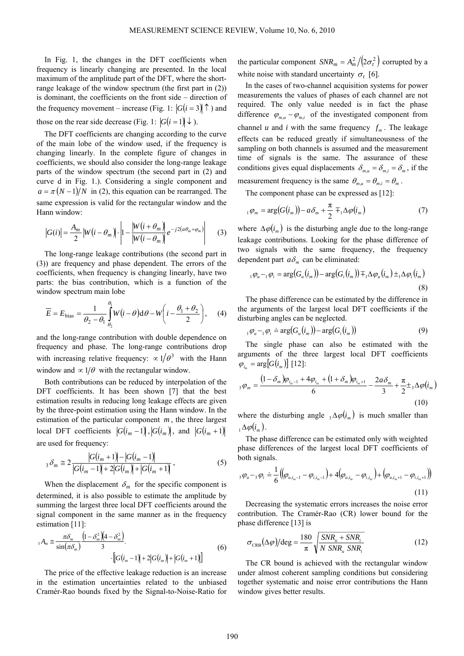In Fig. 1, the changes in the DFT coefficients when frequency is linearly changing are presented. In the local maximum of the amplitude part of the DFT, where the shortrange leakage of the window spectrum (the first part in (2)) is dominant, the coefficients on the front side – direction of the frequency movement – increase (Fig. 1:  $|G(i=3)| \uparrow$ ) and those on the rear side decrease (Fig. 1:  $|G(i = 1) \rangle \downarrow$ ).

The DFT coefficients are changing according to the curve of the main lobe of the window used, if the frequency is changing linearly. In the complete figure of changes in coefficients, we should also consider the long-range leakage parts of the window spectrum (the second part in (2) and curve d in Fig. 1.). Considering a single component and  $a = \pi (N-1)/N$  in (2), this equation can be rearranged. The same expression is valid for the rectangular window and the Hann window:

$$
|G(i)| = \frac{A_m}{2} |W(i - \theta_m)| \cdot \left| 1 - \frac{|W(i + \theta_m)|}{|W(i - \theta_m)|} e^{-j2(a\theta_m + \varphi_m)} \right| \tag{3}
$$

The long-range leakage contributions (the second part in (3)) are frequency and phase dependent. The errors of the coefficients, when frequency is changing linearly, have two parts: the bias contribution, which is a function of the window spectrum main lobe

$$
\overline{E} = E_{\text{bias}} = \frac{1}{\theta_2 - \theta_1} \int_{\theta_2}^{\theta_1} W(i - \theta) d\theta - W\left(i - \frac{\theta_1 + \theta_2}{2}\right), \quad (4)
$$

and the long-range contribution with double dependence on frequency and phase. The long-range contributions drop with increasing relative frequency:  $\alpha$  1/ $\theta$ <sup>3</sup> with the Hann window and  $\propto 1/\theta$  with the rectangular window.

Both contributions can be reduced by interpolation of the DFT coefficients. It has been shown [7] that the best estimation results in reducing long leakage effects are given by the three-point estimation using the Hann window. In the estimation of the particular component  $m$ , the three largest  $\left| \begin{array}{c} G(i_m - 1) \end{array} \right|, \left| \begin{array}{c} G(i_m) \end{array} \right|, \text{ and } \left| \begin{array}{c} G(i_m + 1) \end{array} \right|$ are used for frequency:

$$
{}_{3}\delta_{m} \cong 2\frac{|G(i_{m}+1)|-|G(i_{m}-1)|}{|G(i_{m}-1)|+2|G(i_{m})|+|G(i_{m}+1)|}, \qquad (5)
$$

When the displacement  $\delta_m$  for the specific component is determined, it is also possible to estimate the amplitude by summing the largest three local DFT coefficients around the signal component in the same manner as in the frequency estimation [11]:

$$
{}_{3}A_{m} \cong \frac{\pi \delta_{m}}{\sin(\pi \delta_{m})} \frac{\left(1 - \delta_{m}^{2}\right)\left(4 - \delta_{m}^{2}\right)}{3} \cdot \left[ G(i_{m} - 1) + 2\left|G(i_{m}\right) + \left|G(i_{m} + 1)\right|\right] \tag{6}
$$

The price of the effective leakage reduction is an increase in the estimation uncertainties related to the unbiased Cramér-Rao bounds fixed by the Signal-to-Noise-Ratio for the particular component  $SNR_m = A_m^2 / (2\sigma_t^2)$  corrupted by a white noise with standard uncertainty  $\sigma$ , [6].

In the cases of two-channel acquisition systems for power measurements the values of phases of each channel are not required. The only value needed is in fact the phase difference  $\varphi_{mu} - \varphi_{mi}$  of the investigated component from channel *u* and *i* with the same frequency  $f_m$ . The leakage effects can be reduced greatly if simultaneousness of the sampling on both channels is assumed and the measurement time of signals is the same. The assurance of these conditions gives equal displacements  $\delta_{m,u} = \delta_{m,i} = \delta_m$ , if the *i*m measurement frequency is the same  $\theta_{m,\mu} = \theta_{m,i} = \theta_m$ .

The component phase can be expressed as [12]:

$$
{}_{1}\varphi_{m} = \arg(G(i_{m})) - a\delta_{m} + \frac{\pi}{2} \mp {}_{1}\Delta\varphi(i_{m})
$$
\n(7)

where  $\Delta \varphi ( i_m )$  is the disturbing angle due to the long-range leakage contributions. Looking for the phase difference of two signals with the same frequency, the frequency dependent part  $a\delta_m$  can be eliminated:

$$
{}_{1}\varphi_{u} - {}_{1}\varphi_{i} = \arg(G_{u}(i_{m})) - \arg(G_{i}(i_{m})) \mp {}_{1}\Delta\varphi_{u}(i_{m}) \pm {}_{1}\Delta\varphi_{i}(i_{m})
$$
\n(8)

The phase difference can be estimated by the difference in the arguments of the largest local DFT coefficients if the disturbing angles can be neglected.

$$
{}_{1}\varphi_{u} - {}_{1}\varphi_{i} \doteq \arg(G_{u}(i_{m})) - \arg(G_{i}(i_{m})) \tag{9}
$$

The single phase can also be estimated with the arguments of the three largest local DFT coefficients  $\varphi_i = \arg[G(i_m)]$  [12]:

$$
{}_{3}\varphi_{m} = \frac{\left(1-\delta_{m}\right)\varphi_{i_{m}-1} + 4\varphi_{i_{m}} + \left(1+\delta_{m}\right)\varphi_{i_{m}+1}}{6} - \frac{2a\delta_{m}}{3} + \frac{\pi}{2} \pm {}_{3}\Delta\varphi(i_{m})
$$
\n(10)

where the disturbing angle  ${}_{3}\Delta\varphi(i_{m})$  is much smaller than  $_{1}\Delta\varphi(i_{m}).$ 

The phase difference can be estimated only with weighted phase differences of the largest local DFT coefficients of both signals.

$$
{}_{3}\varphi_{u}-{}_{3}\varphi_{i} \doteq \frac{1}{6}\big(\big(\varphi_{u,j_{m}-1}-\varphi_{i,j_{m}-1}\big)+4\big(\varphi_{u,j_{m}}-\varphi_{i,j_{m}}\big)+\big(\varphi_{u,j_{m}+1}-\varphi_{i,j_{m}+1}\big)\big)
$$
\n(11)

Decreasing the systematic errors increases the noise error contribution. The Cramér-Rao (CR) lower bound for the phase difference [13] is

$$
\sigma_{\text{CRB}}(\Delta \varphi)/\text{deg} = \frac{180}{\pi} \sqrt{\frac{SNR_u + SNR_i}{N SNR_u SNR_i}}
$$
(12)

The CR bound is achieved with the rectangular window under almost coherent sampling conditions but considering together systematic and noise error contributions the Hann window gives better results.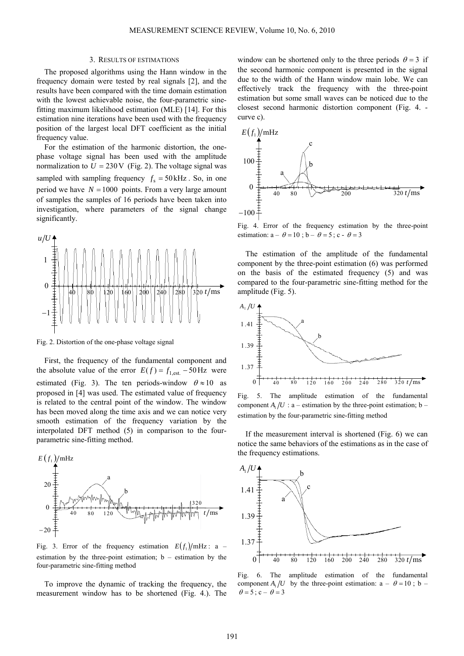#### 3. RESULTS OF ESTIMATIONS

The proposed algorithms using the Hann window in the frequency domain were tested by real signals [2], and the results have been compared with the time domain estimation with the lowest achievable noise, the four-parametric sinefitting maximum likelihood estimation (MLE) [14]. For this estimation nine iterations have been used with the frequency position of the largest local DFT coefficient as the initial frequency value.

For the estimation of the harmonic distortion, the onephase voltage signal has been used with the amplitude normalization to  $U = 230 \text{ V}$  (Fig. 2). The voltage signal was sampled with sampling frequency  $f_s = 50 \text{ kHz}$ . So, in one period we have  $N = 1000$  points. From a very large amount of samples the samples of 16 periods have been taken into investigation, where parameters of the signal change significantly.



Fig. 2. Distortion of the one-phase voltage signal

First, the frequency of the fundamental component and the absolute value of the error  $E(f) = f_{1,est.} - 50 \text{ Hz}$  were estimated (Fig. 3). The ten periods-window  $\theta \approx 10$  as proposed in [4] was used. The estimated value of frequency is related to the central point of the window. The window has been moved along the time axis and we can notice very smooth estimation of the frequency variation by the interpolated DFT method (5) in comparison to the fourparametric sine-fitting method.



Fig. 3. Error of the frequency estimation  $E(f_1)/mHz$ : a – estimation by the three-point estimation;  $b -$  estimation by the four-parametric sine-fitting method

To improve the dynamic of tracking the frequency, the measurement window has to be shortened (Fig. 4.). The

window can be shortened only to the three periods  $\theta = 3$  if the second harmonic component is presented in the signal due to the width of the Hann window main lobe. We can effectively track the frequency with the three-point estimation but some small waves can be noticed due to the closest second harmonic distortion component (Fig. 4. curve c).



Fig. 4. Error of the frequency estimation by the three-point estimation:  $a - \theta = 10$ ;  $b - \theta = 5$ ;  $c - \theta = 3$ 

The estimation of the amplitude of the fundamental component by the three-point estimation (6) was performed on the basis of the estimated frequency (5) and was compared to the four-parametric sine-fitting method for the amplitude (Fig. 5).



Fig. 5. The amplitude estimation of the fundamental component  $A / U$ : a – estimation by the three-point estimation; b – estimation by the four-parametric sine-fitting method

If the measurement interval is shortened (Fig. 6) we can notice the same behaviors of the estimations as in the case of the frequency estimations.



Fig. 6. The amplitude estimation of the fundamental component  $A_1/U$  by the three-point estimation:  $a - \theta = 10$ ; b –  $\theta = 5$ ; c –  $\theta = 3$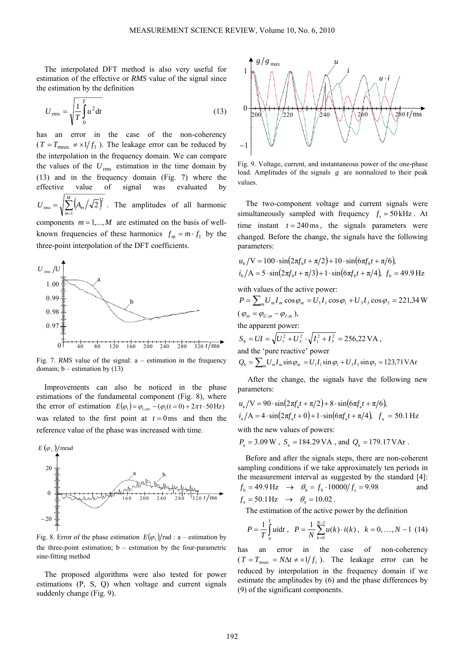The interpolated DFT method is also very useful for estimation of the effective or *RMS* value of the signal since the estimation by the definition

$$
U_{\rm rms} = \sqrt{\frac{1}{T} \int_{0}^{T} u^2 dt}
$$
 (13)

has an error in the case of the non-coherency  $(T = T_{meas} \neq x1/f_1$ ). The leakage error can be reduced by the interpolation in the frequency domain. We can compare the values of the  $U_{\text{rms}}$  estimation in the time domain by (13) and in the frequency domain (Fig. 7) where the effective value of signal was evaluated by  $U_{\text{rms}} = \sqrt{\sum_{m=1}^{M} (A_m/\sqrt{2})^2}$ . The amplitudes of all harmonic *m m* 1 2 rms components  $m = 1,...,M$  are estimated on the basis of wellknown frequencies of these harmonics  $f_m = m \cdot f_1$  by the three-point interpolation of the DFT coefficients.



Fig. 7. *RMS* value of the signal: a – estimation in the frequency domain;  $b$  – estimation by  $(13)$ 

Improvements can also be noticed in the phase estimations of the fundamental component (Fig. 8), where the error of estimation  $E(\varphi_1) = \varphi_{\text{1,est.}} - (\varphi_1(t=0) + 2\pi t \cdot 50 \text{ Hz})$ was related to the first point at  $t = 0$  ms and then the reference value of the phase was increased with time.



Fig. 8. Error of the phase estimation  $E(\varphi_1)/\text{rad}$ : a – estimation by the three-point estimation;  $b -$  estimation by the four-parametric sine-fitting method

The proposed algorithms were also tested for power estimations (P, S, Q) when voltage and current signals suddenly change (Fig. 9).



Fig. 9. Voltage, current, and instantaneous power of the one-phase load. Amplitudes of the signals *g* are normalized to their peak values.

The two-component voltage and current signals were simultaneously sampled with frequency  $f_s = 50 \text{ kHz}$ . At time instant  $t = 240 \text{ ms}$ , the signals parameters were changed. Before the change, the signals have the following parameters:

$$
u_{b}/V = 100 \cdot \sin(2\pi f_{b}t + \pi/2) + 10 \cdot \sin(6\pi f_{b}t + \pi/6),
$$
  
\n
$$
i_{b}/A = 5 \cdot \sin(2\pi f_{b}t + \pi/3) + 1 \cdot \sin(6\pi f_{b}t + \pi/4), f_{b} = 49.9 \text{ Hz}
$$

with values of the active power:

$$
P = \sum_{m} U_{m} I_{m} \cos \varphi_{m} = U_{1} I_{1} \cos \varphi_{1} + U_{3} I_{3} \cos \varphi_{3} = 221,34 \text{ W}
$$
  
( $\varphi_{m} = \varphi_{U,m} - \varphi_{I,m}$ ),  
the apparent power:  
 $S_{b} = UI = \sqrt{U_{1}^{2} + U_{3}^{2}} \cdot \sqrt{I_{1}^{2} + I_{3}^{2}} = 256,22 \text{ VA}$ ,  
and the 'pure reactive' power  
 $Q_{b} = \sum_{m} U_{m} I_{m} \sin \varphi_{m} = U_{1} I_{1} \sin \varphi_{1} + U_{3} I_{3} \sin \varphi_{3} = 123,71 \text{ VAr}$ 

 After the change, the signals have the following new parameters:

$$
u_{\rm a}/\text{V} = 90 \cdot \sin(2\pi f_{\rm a}t + \pi/2) + 8 \cdot \sin(6\pi f_{\rm a}t + \pi/6),
$$
  

$$
i_{\rm a}/\text{A} = 4 \cdot \sin(2\pi f_{\rm a}t + 0) + 1 \cdot \sin(6\pi f_{\rm a}t + \pi/4), \ \ f_{\rm a} = 50.1 \text{ Hz}
$$

with the new values of powers:

 $P_a = 3.09 \text{ W}$ ,  $S_a = 184.29 \text{ VA}$ , and  $Q_a = 179.17 \text{ VA}$ .

Before and after the signals steps, there are non-coherent sampling conditions if we take approximately ten periods in the measurement interval as suggested by the standard [4]:  $f_b = 49.9 \text{ Hz} \rightarrow \theta_b = f_b \cdot 10000 / f_s = 9.98$  and  $f_a = 50.1 \text{ Hz} \rightarrow \theta_a = 10.02$ .

The estimation of the active power by the definition

$$
P = \frac{1}{T} \int_{0}^{T} u \, dt \, , \quad P = \frac{1}{N} \sum_{k=0}^{N-1} u(k) \cdot i(k) \, , \quad k = 0, \ldots, N-1 \tag{14}
$$

has an error in the case of non-coherency  $(T = T<sub>meas</sub> = N\Delta t \neq x1/f<sub>1</sub>)$ . The leakage error can be reduced by interpolation in the frequency domain if we estimate the amplitudes by (6) and the phase differences by (9) of the significant components.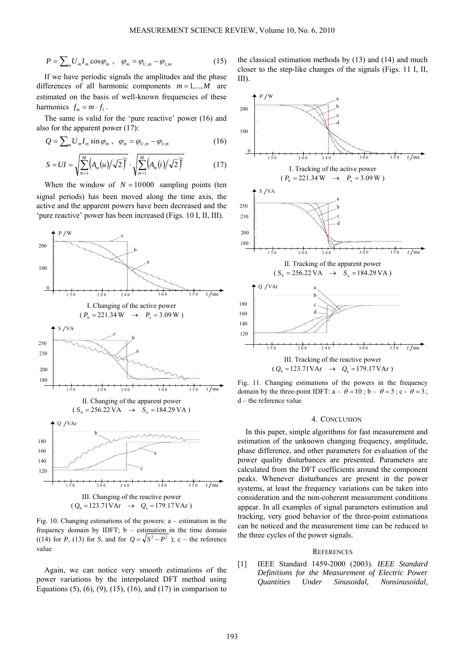$$
P = \sum_{m} U_{m} I_{m} \cos \varphi_{m} , \quad \varphi_{m} = \varphi_{U,m} - \varphi_{I,m}
$$
 (15)

If we have periodic signals the amplitudes and the phase differences of all harmonic components  $m = 1,...,M$  are estimated on the basis of well-known frequencies of these harmonics  $f_m = m \cdot f_1$ .

The same is valid for the 'pure reactive' power (16) and also for the apparent power (17):

$$
Q = \sum_{m} U_{m} I_{m} \sin \varphi_{m} , \quad \varphi_{m} = \varphi_{U,m} - \varphi_{I,m}
$$
 (16)

$$
S = UI = \sqrt{\sum_{m=1}^{M} (A_m(u)/\sqrt{2})^2} \cdot \sqrt{\sum_{m=1}^{M} (A_m(i)/\sqrt{2})^2}
$$
(17)

When the window of  $N = 10000$  sampling points (ten signal periods) has been moved along the time axis, the active and the apparent powers have been decreased and the 'pure reactive' power has been increased (Figs. 10 I, II, III).



Fig. 10. Changing estimations of the powers: a – estimation in the frequency domain by IDFT; b – estimation in the time domain ((14) for *P*, (13) for *S*, and for  $Q = \sqrt{S^2 - P^2}$  ); c – the reference value

Again, we can notice very smooth estimations of the power variations by the interpolated DFT method using Equations  $(5)$ ,  $(6)$ ,  $(9)$ ,  $(15)$ ,  $(16)$ , and  $(17)$  in comparison to the classical estimation methods by (13) and (14) and much closer to the step-like changes of the signals (Figs. 11 I, II, III).



Fig. 11. Changing estimations of the powers in the frequency domain by the three-point IDFT:  $a - \theta = 10$ :  $b - \theta = 5$ :  $c - \theta = 3$ : d – the reference value

#### 4. CONCLUSION

In this paper, simple algorithms for fast measurement and estimation of the unknown changing frequency, amplitude, phase difference, and other parameters for evaluation of the power quality disturbances are presented. Parameters are calculated from the DFT coefficients around the component peaks. Whenever disturbances are present in the power systems, at least the frequency variations can be taken into consideration and the non-coherent measurement conditions appear. In all examples of signal parameters estimation and tracking, very good behavior of the three-point estimations can be noticed and the measurement time can be reduced to the three cycles of the power signals.

## **REFERENCES**

[1] IEEE Standard 1459-2000 (2003). *IEEE Standard Definitions for the Measurement of Electric Power Quantities Under Sinusoidal, Nonsinusoidal,*